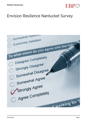

## Envision Resilience Nantucket Survey

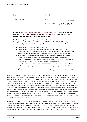| Client           | Facts           |                      |
|------------------|-----------------|----------------------|
| ReMain Nantucket | Period          | 2022                 |
|                  | Project Country | <b>United States</b> |

## **As part of the [Envision Resilience Nantucket Challenge](https://www.envisionresilience.org/nantucket-study-areas) (ERNC), ReMain Nantucket retained EBP to conduct a series of two surveys to measure community attitudes toward climate change and coastal resilience on Nantucket.**

The first survey, designed to provide baseline information on community attitudes on the topics, was administered in mid-January, 2021, before the ERNC 2021 design studio and community outreach initiatives began. The survey asked respondents about:

- Attitudes about climate change in general
- Attitudes about climate change on Nantucket including the role of local government actors, the responsibilities of homeowners and business owners, and support for public expenditures to prepare for the effects of climate change
- Willingness to consider individual adaptations such as wet or dry floodproofing, private rain gardens, raising/protecting home utilities, or raising homes
- Level of support for community actions such as creating tidal surge barriers from oyster reefs, community rain gardens, and raising sidewalks
- The extent to which respondents are taking action to reduce their contributions to climate change (e.g. by conserving electricity, buy locally sourced food, or buying carbon offsets)
- How likely respondents are to discuss climate change and coastal resilience with others in the community

Survey questions designed to measure attitudes about climate change in general were drawn from the Yale Program on Climate Change Communications "Six Americas Super Short Survey, Yay!" ("SASSY"). Sassy is an audience segmentation tool designed to help people better understand their own climate views and the views of others to improve communication on the topic. The original SASSY survey was comprised of 36 questions, but researchers were able to isolate just four questions that would allow respondents to be classified into six groups: Alarmed, Concerned, Cautious, Disengaged, Doubtful, and Dismissive. The Yale Program on Climate Change Communications administers the survey nationwide annually, and provides a web-based tool that allows the comparison of attitudes of individuals and survey populations with national attitudes. This tool was used to compare ERNC survey responses and found significantly higher proportions of Alarmed and Concerned on Nantucket (88%) relative to the nation as a whole (58%), and very low percentages of Disengaged, Doubtful, or Dismissive respondents (6% on Nantucket versus 24% nationally).

The second survey was given in late January through early February, 2022, after [ERNC activities](https://www.envisionresilience.org/exhibitionevents-update) had concluded. This survey added questions designed to measure changes in attitudes since the first survey. ReMain was particularly interested to identify the impacts of ERNC programming on community attitudes, with the recognition that attitudes are also informed by concurrent initiatives by the Town of Nantucket, its consultants, and a number of on-island nonprofit, science and conservation organizations.